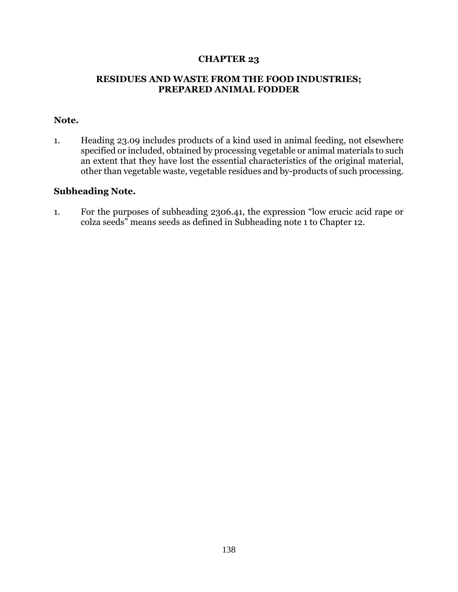## **CHAPTER 23**

## **RESIDUES AND WASTE FROM THE FOOD INDUSTRIES; PREPARED ANIMAL FODDER**

## **Note.**

1. Heading 23.09 includes products of a kind used in animal feeding, not elsewhere specified or included, obtained by processing vegetable or animal materials to such an extent that they have lost the essential characteristics of the original material, other than vegetable waste, vegetable residues and by-products of such processing.

## **Subheading Note.**

1. For the purposes of subheading 2306.41, the expression "low erucic acid rape or colza seeds" means seeds as defined in Subheading note 1 to Chapter 12.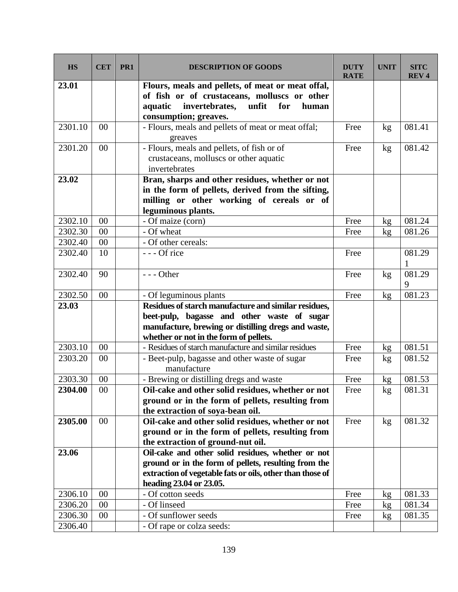| <b>HS</b> | <b>CET</b> | PR1 | <b>DESCRIPTION OF GOODS</b>                                                                                                                                                      | <b>DUTY</b><br><b>RATE</b> | <b>UNIT</b> | <b>SITC</b><br><b>REV4</b> |
|-----------|------------|-----|----------------------------------------------------------------------------------------------------------------------------------------------------------------------------------|----------------------------|-------------|----------------------------|
| 23.01     |            |     | Flours, meals and pellets, of meat or meat offal,<br>of fish or of crustaceans, molluscs or other<br>unfit<br>invertebrates,<br>for<br>aquatic<br>human<br>consumption; greaves. |                            |             |                            |
| 2301.10   | 00         |     | - Flours, meals and pellets of meat or meat offal;<br>greaves                                                                                                                    | Free                       | kg          | 081.41                     |
| 2301.20   | 00         |     | - Flours, meals and pellets, of fish or of<br>crustaceans, molluscs or other aquatic<br>invertebrates                                                                            | Free                       | kg          | 081.42                     |
| 23.02     |            |     | Bran, sharps and other residues, whether or not<br>in the form of pellets, derived from the sifting,<br>milling or other working of cereals or of<br>leguminous plants.          |                            |             |                            |
| 2302.10   | $00\,$     |     | - Of maize (corn)                                                                                                                                                                | Free                       | kg          | 081.24                     |
| 2302.30   | 00         |     | - Of wheat                                                                                                                                                                       | Free                       | kg          | 081.26                     |
| 2302.40   | 00         |     | - Of other cereals:                                                                                                                                                              |                            |             |                            |
| 2302.40   | 10         |     | --- Of rice                                                                                                                                                                      | Free                       |             | 081.29<br>1                |
| 2302.40   | 90         |     | $--$ Other                                                                                                                                                                       | Free                       | kg          | 081.29<br>9                |
| 2302.50   | 00         |     | - Of leguminous plants                                                                                                                                                           | Free                       | kg          | 081.23                     |
| 23.03     |            |     | Residues of starch manufacture and similar residues,                                                                                                                             |                            |             |                            |
|           |            |     | beet-pulp, bagasse and other waste of sugar                                                                                                                                      |                            |             |                            |
|           |            |     | manufacture, brewing or distilling dregs and waste,                                                                                                                              |                            |             |                            |
|           |            |     | whether or not in the form of pellets.                                                                                                                                           |                            |             |                            |
| 2303.10   | 00         |     | - Residues of starch manufacture and similar residues                                                                                                                            | Free                       | kg          | 081.51                     |
| 2303.20   | 00         |     | - Beet-pulp, bagasse and other waste of sugar<br>manufacture                                                                                                                     | Free                       | kg          | 081.52                     |
| 2303.30   | 00         |     | - Brewing or distilling dregs and waste                                                                                                                                          | Free                       | kg          | 081.53                     |
| 2304.00   | $00\,$     |     | Oil-cake and other solid residues, whether or not                                                                                                                                | Free                       | kg          | 081.31                     |
|           |            |     | ground or in the form of pellets, resulting from                                                                                                                                 |                            |             |                            |
|           |            |     | the extraction of soya-bean oil.                                                                                                                                                 |                            |             |                            |
| 2305.00   | 00         |     | Oil-cake and other solid residues, whether or not                                                                                                                                | Free                       | kg          | 081.32                     |
|           |            |     | ground or in the form of pellets, resulting from                                                                                                                                 |                            |             |                            |
|           |            |     | the extraction of ground-nut oil.                                                                                                                                                |                            |             |                            |
| 23.06     |            |     | Oil-cake and other solid residues, whether or not                                                                                                                                |                            |             |                            |
|           |            |     | ground or in the form of pellets, resulting from the                                                                                                                             |                            |             |                            |
|           |            |     | extraction of vegetable fats or oils, other than those of                                                                                                                        |                            |             |                            |
|           |            |     | heading 23.04 or 23.05.                                                                                                                                                          |                            |             |                            |
| 2306.10   | 00         |     | - Of cotton seeds                                                                                                                                                                | Free                       | kg          | 081.33                     |
| 2306.20   | 00         |     | - Of linseed                                                                                                                                                                     | Free                       | kg          | 081.34                     |
| 2306.30   | 00         |     | - Of sunflower seeds                                                                                                                                                             | Free                       | kg          | 081.35                     |
| 2306.40   |            |     | - Of rape or colza seeds:                                                                                                                                                        |                            |             |                            |